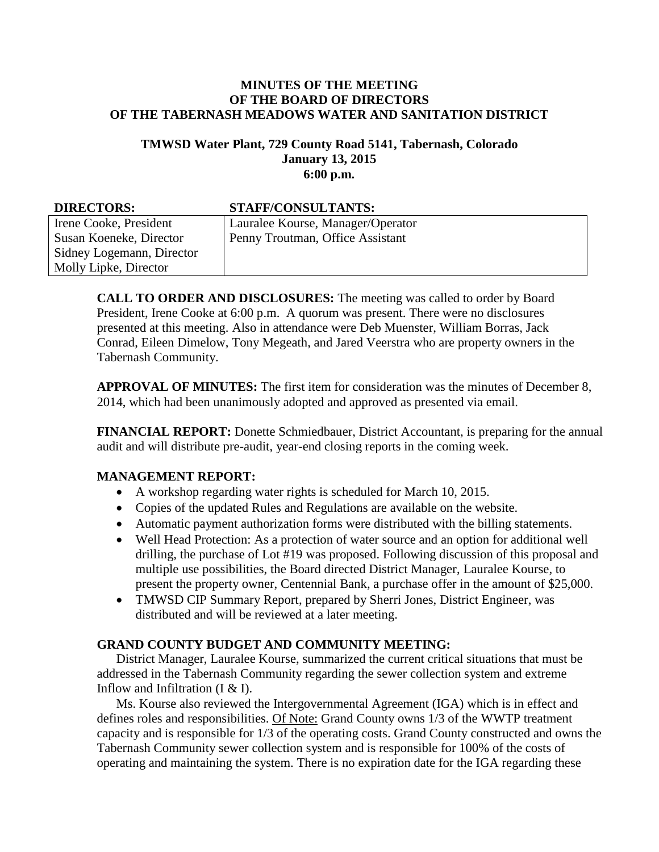#### **MINUTES OF THE MEETING OF THE BOARD OF DIRECTORS OF THE TABERNASH MEADOWS WATER AND SANITATION DISTRICT**

#### **TMWSD Water Plant, 729 County Road 5141, Tabernash, Colorado January 13, 2015 6:00 p.m.**

#### **DIRECTORS: STAFF/CONSULTANTS:** Irene Cooke, President Susan Koeneke, Director Sidney Logemann, Director Molly Lipke, Director Lauralee Kourse, Manager/Operator Penny Troutman, Office Assistant

**CALL TO ORDER AND DISCLOSURES:** The meeting was called to order by Board President, Irene Cooke at 6:00 p.m. A quorum was present. There were no disclosures presented at this meeting. Also in attendance were Deb Muenster, William Borras, Jack Conrad, Eileen Dimelow, Tony Megeath, and Jared Veerstra who are property owners in the Tabernash Community.

**APPROVAL OF MINUTES:** The first item for consideration was the minutes of December 8, 2014, which had been unanimously adopted and approved as presented via email.

**FINANCIAL REPORT:** Donette Schmiedbauer, District Accountant, is preparing for the annual audit and will distribute pre-audit, year-end closing reports in the coming week.

# **MANAGEMENT REPORT:**

- A workshop regarding water rights is scheduled for March 10, 2015.
- Copies of the updated Rules and Regulations are available on the website.
- Automatic payment authorization forms were distributed with the billing statements.
- Well Head Protection: As a protection of water source and an option for additional well drilling, the purchase of Lot #19 was proposed. Following discussion of this proposal and multiple use possibilities, the Board directed District Manager, Lauralee Kourse, to present the property owner, Centennial Bank, a purchase offer in the amount of \$25,000.
- TMWSD CIP Summary Report, prepared by Sherri Jones, District Engineer, was distributed and will be reviewed at a later meeting.

# **GRAND COUNTY BUDGET AND COMMUNITY MEETING:**

District Manager, Lauralee Kourse, summarized the current critical situations that must be addressed in the Tabernash Community regarding the sewer collection system and extreme Inflow and Infiltration (I & I).

Ms. Kourse also reviewed the Intergovernmental Agreement (IGA) which is in effect and defines roles and responsibilities. Of Note: Grand County owns 1/3 of the WWTP treatment capacity and is responsible for 1/3 of the operating costs. Grand County constructed and owns the Tabernash Community sewer collection system and is responsible for 100% of the costs of operating and maintaining the system. There is no expiration date for the IGA regarding these